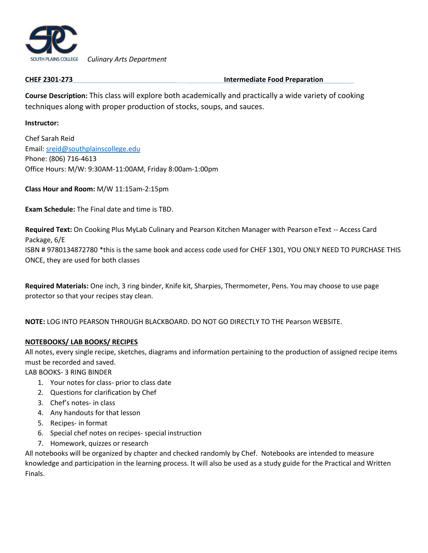

 *Culinary Arts Department*

**CHEF 2301-273 Intermediate Food Preparation**

**Course Description:** This class will explore both academically and practically a wide variety of cooking techniques along with proper production of stocks, soups, and sauces.

### **Instructor:**

Chef Sarah Reid Email: [sreid@southplainscollege.edu](mailto:sreid@southplainscollege.edu) Phone: (806) 716-4613 Office Hours: M/W: 9:30AM-11:00AM, Friday 8:00am-1:00pm

**Class Hour and Room:** M/W 11:15am-2:15pm

**Exam Schedule:** The Final date and time is TBD.

**Required Text:** On Cooking Plus MyLab Culinary and Pearson Kitchen Manager with Pearson eText -- Access Card Package, 6/E

ISBN # 9780134872780 \*this is the same book and access code used for CHEF 1301, YOU ONLY NEED TO PURCHASE THIS ONCE, they are used for both classes

**Required Materials:** One inch, 3 ring binder, Knife kit, Sharpies, Thermometer, Pens. You may choose to use page protector so that your recipes stay clean.

**NOTE:** LOG INTO PEARSON THROUGH BLACKBOARD. DO NOT GO DIRECTLY TO THE Pearson WEBSITE.

# **NOTEBOOKS/ LAB BOOKS/ RECIPES**

All notes, every single recipe, sketches, diagrams and information pertaining to the production of assigned recipe items must be recorded and saved.

LAB BOOKS- 3 RING BINDER

- 1. Your notes for class- prior to class date
- 2. Questions for clarification by Chef
- 3. Chef's notes- in class
- 4. Any handouts for that lesson
- 5. Recipes- in format
- 6. Special chef notes on recipes- special instruction
- 7. Homework, quizzes or research

All notebooks will be organized by chapter and checked randomly by Chef. Notebooks are intended to measure knowledge and participation in the learning process. It will also be used as a study guide for the Practical and Written Finals.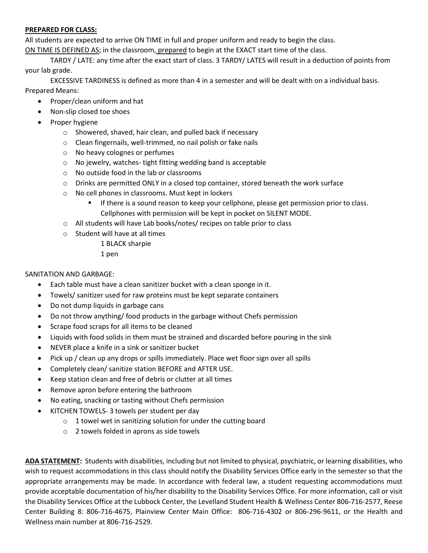#### **PREPARED FOR CLASS:**

All students are expected to arrive ON TIME in full and proper uniform and ready to begin the class.

ON TIME IS DEFINED AS; in the classroom, prepared to begin at the EXACT start time of the class.

TARDY / LATE: any time after the exact start of class. 3 TARDY/ LATES will result in a deduction of points from your lab grade.

EXCESSIVE TARDINESS is defined as more than 4 in a semester and will be dealt with on a individual basis. Prepared Means:

- Proper/clean uniform and hat
- Non-slip closed toe shoes
- Proper hygiene
	- o Showered, shaved, hair clean, and pulled back if necessary
	- o Clean fingernails, well-trimmed, no nail polish or fake nails
	- o No heavy colognes or perfumes
	- o No jewelry, watches- tight fitting wedding band is acceptable
	- o No outside food in the lab or classrooms
	- o Drinks are permitted ONLY in a closed top container, stored beneath the work surface
	- o No cell phones in classrooms. Must kept in lockers
		- **■** If there is a sound reason to keep your cellphone, please get permission prior to class. Cellphones with permission will be kept in pocket on SILENT MODE.
	- o All students will have Lab books/notes/ recipes on table prior to class
	- o Student will have at all times
		- 1 BLACK sharpie
		- 1 pen

# SANITATION AND GARBAGE:

- Each table must have a clean sanitizer bucket with a clean sponge in it.
- Towels/ sanitizer used for raw proteins must be kept separate containers
- Do not dump liquids in garbage cans
- Do not throw anything/ food products in the garbage without Chefs permission
- Scrape food scraps for all items to be cleaned
- Liquids with food solids in them must be strained and discarded before pouring in the sink
- NEVER place a knife in a sink or sanitizer bucket
- Pick up / clean up any drops or spills immediately. Place wet floor sign over all spills
- Completely clean/ sanitize station BEFORE and AFTER USE.
- Keep station clean and free of debris or clutter at all times
- Remove apron before entering the bathroom
- No eating, snacking or tasting without Chefs permission
- KITCHEN TOWELS- 3 towels per student per day
	- $\circ$  1 towel wet in sanitizing solution for under the cutting board
	- o 2 towels folded in aprons as side towels

**ADA STATEMENT:** Students with disabilities, including but not limited to physical, psychiatric, or learning disabilities, who wish to request accommodations in this class should notify the Disability Services Office early in the semester so that the appropriate arrangements may be made. In accordance with federal law, a student requesting accommodations must provide acceptable documentation of his/her disability to the Disability Services Office. For more information, call or visit the Disability Services Office at the Lubbock Center, the Levelland Student Health & Wellness Center 806-716-2577, Reese Center Building 8: 806-716-4675, Plainview Center Main Office: 806-716-4302 or 806-296-9611, or the Health and Wellness main number at 806-716-2529.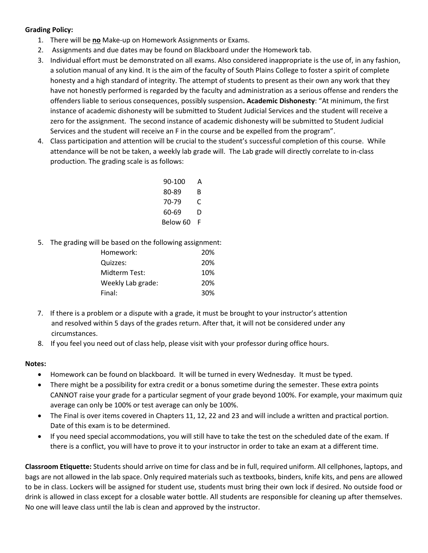### **Grading Policy:**

- 1. There will be **no** Make-up on Homework Assignments or Exams.
- 2. Assignments and due dates may be found on Blackboard under the Homework tab.
- 3. Individual effort must be demonstrated on all exams. Also considered inappropriate is the use of, in any fashion, a solution manual of any kind. It is the aim of the faculty of South Plains College to foster a spirit of complete honesty and a high standard of integrity. The attempt of students to present as their own any work that they have not honestly performed is regarded by the faculty and administration as a serious offense and renders the offenders liable to serious consequences, possibly suspension**. Academic Dishonesty**: "At minimum, the first instance of academic dishonesty will be submitted to Student Judicial Services and the student will receive a zero for the assignment. The second instance of academic dishonesty will be submitted to Student Judicial Services and the student will receive an F in the course and be expelled from the program".
- 4. Class participation and attention will be crucial to the student's successful completion of this course. While attendance will be not be taken, a weekly lab grade will. The Lab grade will directly correlate to in-class production. The grading scale is as follows:

| 90-100     | Α  |
|------------|----|
| 80-89      | в  |
| 70-79      | C. |
| 60-69      | D  |
| Below 60 F |    |

5. The grading will be based on the following assignment:

| Homework:         | 20% |
|-------------------|-----|
| Quizzes:          | 20% |
| Midterm Test:     | 10% |
| Weekly Lab grade: | 20% |
| Final:            | 30% |

- 7. If there is a problem or a dispute with a grade, it must be brought to your instructor's attention and resolved within 5 days of the grades return. After that, it will not be considered under any circumstances.
- 8. If you feel you need out of class help, please visit with your professor during office hours.

#### **Notes:**

- Homework can be found on blackboard. It will be turned in every Wednesday. It must be typed.
- There might be a possibility for extra credit or a bonus sometime during the semester. These extra points CANNOT raise your grade for a particular segment of your grade beyond 100%. For example, your maximum quiz average can only be 100% or test average can only be 100%.
- The Final is over items covered in Chapters 11, 12, 22 and 23 and will include a written and practical portion. Date of this exam is to be determined.
- If you need special accommodations, you will still have to take the test on the scheduled date of the exam. If there is a conflict, you will have to prove it to your instructor in order to take an exam at a different time.

**Classroom Etiquette:** Students should arrive on time for class and be in full, required uniform. All cellphones, laptops, and bags are not allowed in the lab space. Only required materials such as textbooks, binders, knife kits, and pens are allowed to be in class. Lockers will be assigned for student use, students must bring their own lock if desired. No outside food or drink is allowed in class except for a closable water bottle. All students are responsible for cleaning up after themselves. No one will leave class until the lab is clean and approved by the instructor.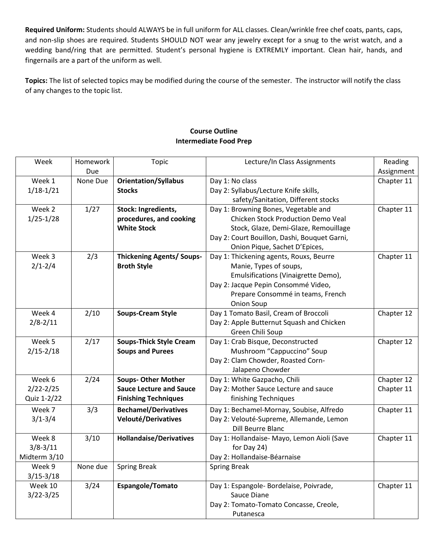**Required Uniform:** Students should ALWAYS be in full uniform for ALL classes. Clean/wrinkle free chef coats, pants, caps, and non-slip shoes are required. Students SHOULD NOT wear any jewelry except for a snug to the wrist watch, and a wedding band/ring that are permitted. Student's personal hygiene is EXTREMLY important. Clean hair, hands, and fingernails are a part of the uniform as well.

**Topics:** The list of selected topics may be modified during the course of the semester. The instructor will notify the class of any changes to the topic list.

# **Course Outline Intermediate Food Prep**

| Week          | Homework | Topic                            | Lecture/In Class Assignments                 | Reading    |
|---------------|----------|----------------------------------|----------------------------------------------|------------|
|               | Due      |                                  |                                              | Assignment |
| Week 1        | None Due | <b>Orientation/Syllabus</b>      | Day 1: No class                              | Chapter 11 |
| $1/18 - 1/21$ |          | <b>Stocks</b>                    | Day 2: Syllabus/Lecture Knife skills,        |            |
|               |          |                                  | safety/Sanitation, Different stocks          |            |
| Week 2        | 1/27     | <b>Stock: Ingredients,</b>       | Day 1: Browning Bones, Vegetable and         | Chapter 11 |
| $1/25 - 1/28$ |          | procedures, and cooking          | <b>Chicken Stock Production Demo Veal</b>    |            |
|               |          | <b>White Stock</b>               | Stock, Glaze, Demi-Glaze, Remouillage        |            |
|               |          |                                  | Day 2: Court Bouillon, Dashi, Bouquet Garni, |            |
|               |          |                                  | Onion Pique, Sachet D'Epices,                |            |
| Week 3        | 2/3      | <b>Thickening Agents/ Soups-</b> | Day 1: Thickening agents, Rouxs, Beurre      | Chapter 11 |
| $2/1 - 2/4$   |          | <b>Broth Style</b>               | Manie, Types of soups,                       |            |
|               |          |                                  | Emulsifications (Vinaigrette Demo),          |            |
|               |          |                                  | Day 2: Jacque Pepin Consommé Video,          |            |
|               |          |                                  | Prepare Consommé in teams, French            |            |
|               |          |                                  | Onion Soup                                   |            |
| Week 4        | 2/10     | <b>Soups-Cream Style</b>         | Day 1 Tomato Basil, Cream of Broccoli        | Chapter 12 |
| $2/8 - 2/11$  |          |                                  | Day 2: Apple Butternut Squash and Chicken    |            |
|               |          |                                  | Green Chili Soup                             |            |
| Week 5        | 2/17     | <b>Soups-Thick Style Cream</b>   | Day 1: Crab Bisque, Deconstructed            | Chapter 12 |
| $2/15 - 2/18$ |          | <b>Soups and Purees</b>          | Mushroom "Cappuccino" Soup                   |            |
|               |          |                                  | Day 2: Clam Chowder, Roasted Corn-           |            |
|               |          |                                  | Jalapeno Chowder                             |            |
| Week 6        | 2/24     | <b>Soups- Other Mother</b>       | Day 1: White Gazpacho, Chili                 | Chapter 12 |
| $2/22 - 2/25$ |          | <b>Sauce Lecture and Sauce</b>   | Day 2: Mother Sauce Lecture and sauce        | Chapter 11 |
| Quiz 1-2/22   |          | <b>Finishing Techniques</b>      | finishing Techniques                         |            |
| Week 7        | 3/3      | <b>Bechamel/Derivatives</b>      | Day 1: Bechamel-Mornay, Soubise, Alfredo     | Chapter 11 |
| $3/1 - 3/4$   |          | Velouté/Derivatives              | Day 2: Velouté-Supreme, Allemande, Lemon     |            |
|               |          |                                  | Dill Beurre Blanc                            |            |
| Week 8        | 3/10     | <b>Hollandaise/Derivatives</b>   | Day 1: Hollandaise- Mayo, Lemon Aioli (Save  | Chapter 11 |
| $3/8 - 3/11$  |          |                                  | for Day 24)                                  |            |
| Midterm 3/10  |          |                                  | Day 2: Hollandaise-Béarnaise                 |            |
| Week 9        | None due | <b>Spring Break</b>              | <b>Spring Break</b>                          |            |
| $3/15 - 3/18$ |          |                                  |                                              |            |
| Week 10       | 3/24     | Espangole/Tomato                 | Day 1: Espangole- Bordelaise, Poivrade,      | Chapter 11 |
| $3/22 - 3/25$ |          |                                  | Sauce Diane                                  |            |
|               |          |                                  | Day 2: Tomato-Tomato Concasse, Creole,       |            |
|               |          |                                  | Putanesca                                    |            |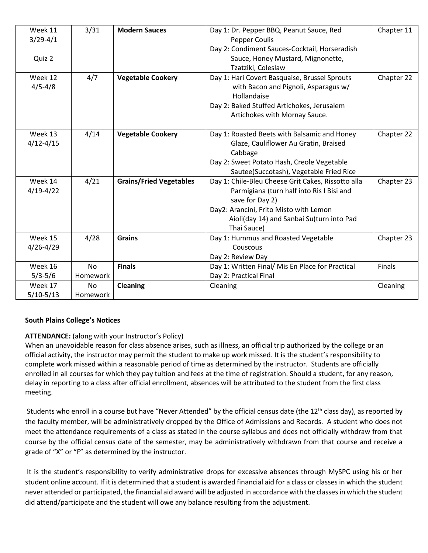| Week 11<br>$3/29 - 4/1$<br>Quiz 2 | 3/31                  | <b>Modern Sauces</b>           | Day 1: Dr. Pepper BBQ, Peanut Sauce, Red<br><b>Pepper Coulis</b><br>Day 2: Condiment Sauces-Cocktail, Horseradish<br>Sauce, Honey Mustard, Mignonette,                                                                   | Chapter 11 |
|-----------------------------------|-----------------------|--------------------------------|--------------------------------------------------------------------------------------------------------------------------------------------------------------------------------------------------------------------------|------------|
| Week 12<br>$4/5 - 4/8$            | 4/7                   | <b>Vegetable Cookery</b>       | Tzatziki, Coleslaw<br>Day 1: Hari Covert Basquaise, Brussel Sprouts<br>with Bacon and Pignoli, Asparagus w/<br>Hollandaise<br>Day 2: Baked Stuffed Artichokes, Jerusalem<br>Artichokes with Mornay Sauce.                | Chapter 22 |
| Week 13<br>$4/12 - 4/15$          | 4/14                  | <b>Vegetable Cookery</b>       | Day 1: Roasted Beets with Balsamic and Honey<br>Glaze, Cauliflower Au Gratin, Braised<br>Cabbage<br>Day 2: Sweet Potato Hash, Creole Vegetable<br>Sautee(Succotash), Vegetable Fried Rice                                | Chapter 22 |
| Week 14<br>$4/19-4/22$            | 4/21                  | <b>Grains/Fried Vegetables</b> | Day 1: Chile-Bleu Cheese Grit Cakes, Rissotto alla<br>Parmigiana (turn half into Ris I Bisi and<br>save for Day 2)<br>Day2: Arancini, Frito Misto with Lemon<br>Aioli(day 14) and Sanbai Su(turn into Pad<br>Thai Sauce) | Chapter 23 |
| Week 15<br>$4/26 - 4/29$          | 4/28                  | <b>Grains</b>                  | Day 1: Hummus and Roasted Vegetable<br>Couscous<br>Day 2: Review Day                                                                                                                                                     | Chapter 23 |
| Week 16<br>$5/3 - 5/6$            | <b>No</b><br>Homework | <b>Finals</b>                  | Day 1: Written Final/ Mis En Place for Practical<br>Day 2: Practical Final                                                                                                                                               | Finals     |
| Week 17<br>$5/10-5/13$            | No.<br>Homework       | <b>Cleaning</b>                | Cleaning                                                                                                                                                                                                                 | Cleaning   |

# **South Plains College's Notices**

# **ATTENDANCE:** (along with your Instructor's Policy)

When an unavoidable reason for class absence arises, such as illness, an official trip authorized by the college or an official activity, the instructor may permit the student to make up work missed. It is the student's responsibility to complete work missed within a reasonable period of time as determined by the instructor. Students are officially enrolled in all courses for which they pay tuition and fees at the time of registration. Should a student, for any reason, delay in reporting to a class after official enrollment, absences will be attributed to the student from the first class meeting.

Students who enroll in a course but have "Never Attended" by the official census date (the 12<sup>th</sup> class day), as reported by the faculty member, will be administratively dropped by the Office of Admissions and Records. A student who does not meet the attendance requirements of a class as stated in the course syllabus and does not officially withdraw from that course by the official census date of the semester, may be administratively withdrawn from that course and receive a grade of "X" or "F" as determined by the instructor.

It is the student's responsibility to verify administrative drops for excessive absences through MySPC using his or her student online account. If it is determined that a student is awarded financial aid for a class or classes in which the student never attended or participated, the financial aid award will be adjusted in accordance with the classes in which the student did attend/participate and the student will owe any balance resulting from the adjustment.